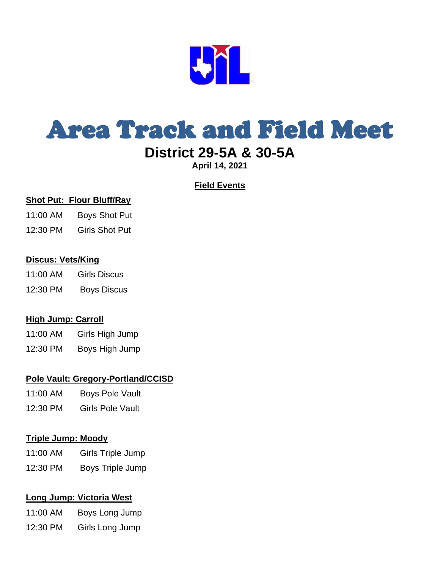

## Area Track and Field Meet

### **District 29-5A & 30-5A**

**April 14, 2021**

#### **Field Events**

#### **Shot Put: Flour Bluff/Ray**

- 11:00 AM Boys Shot Put
- 12:30 PM Girls Shot Put

#### **Discus: Vets/King**

- 11:00 AM Girls Discus
- 12:30 PM Boys Discus

#### **High Jump: Carroll**

- 11:00 AM Girls High Jump
- 12:30 PM Boys High Jump

#### **Pole Vault: Gregory-Portland/CCISD**

- 11:00 AM Boys Pole Vault
- 12:30 PM Girls Pole Vault

#### **Triple Jump: Moody**

- 11:00 AM Girls Triple Jump
- 12:30 PM Boys Triple Jump

#### **Long Jump: Victoria West**

- 11:00 AM Boys Long Jump
- 12:30 PM Girls Long Jump